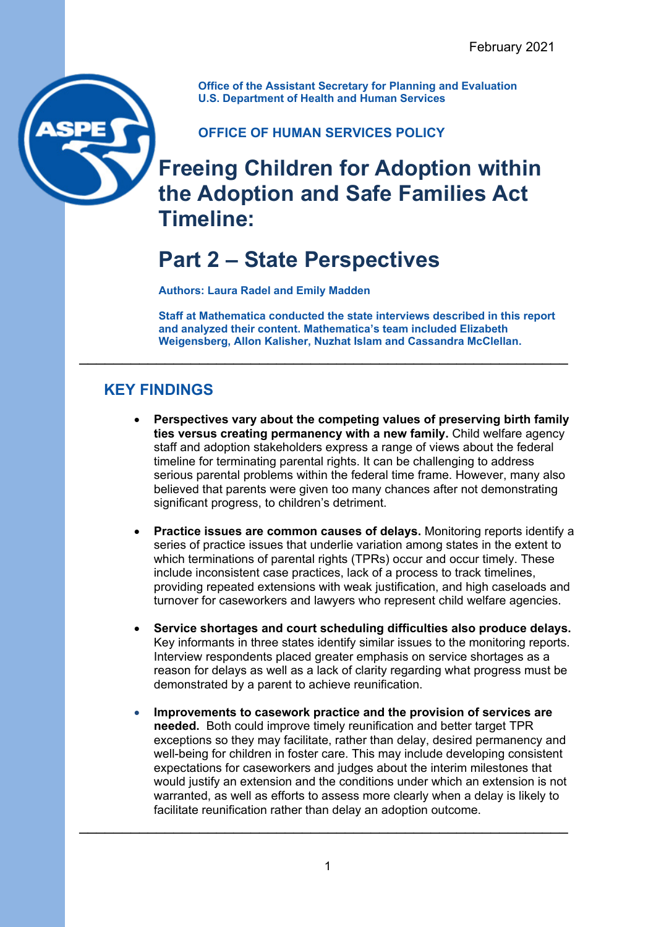**Office of the Assistant Secretary for Planning and Evaluation U.S. Department of Health and Human Services**

**OFFICE OF HUMAN SERVICES POLICY**

# **Freeing Children for Adoption within the Adoption and Safe Families Act Timeline:**

# **Part 2 – State Perspectives**

**Authors: Laura Radel and Emily Madden**

**Staff at Mathematica conducted the state interviews described in this report and analyzed their content. Mathematica's team included Elizabeth Weigensberg, Allon Kalisher, Nuzhat Islam and Cassandra McClellan.**

\_\_\_\_\_\_\_\_\_\_\_\_\_\_\_\_\_\_\_\_\_\_\_\_\_\_\_\_\_\_\_\_\_\_\_\_\_\_\_\_\_\_\_\_\_\_\_\_\_\_\_\_\_\_\_\_\_

# **KEY FINDINGS**

- **Perspectives vary about the competing values of preserving birth family ties versus creating permanency with a new family.** Child welfare agency staff and adoption stakeholders express a range of views about the federal timeline for terminating parental rights. It can be challenging to address serious parental problems within the federal time frame. However, many also believed that parents were given too many chances after not demonstrating significant progress, to children's detriment.
- **Practice issues are common causes of delays.** Monitoring reports identify a series of practice issues that underlie variation among states in the extent to which terminations of parental rights (TPRs) occur and occur timely. These include inconsistent case practices, lack of a process to track timelines, providing repeated extensions with weak justification, and high caseloads and turnover for caseworkers and lawyers who represent child welfare agencies.
- **Service shortages and court scheduling difficulties also produce delays.** Key informants in three states identify similar issues to the monitoring reports. Interview respondents placed greater emphasis on service shortages as a reason for delays as well as a lack of clarity regarding what progress must be demonstrated by a parent to achieve reunification.
- **Improvements to casework practice and the provision of services are needed.** Both could improve timely reunification and better target TPR exceptions so they may facilitate, rather than delay, desired permanency and well-being for children in foster care. This may include developing consistent expectations for caseworkers and judges about the interim milestones that would justify an extension and the conditions under which an extension is not warranted, as well as efforts to assess more clearly when a delay is likely to facilitate reunification rather than delay an adoption outcome.

\_\_\_\_\_\_\_\_\_\_\_\_\_\_\_\_\_\_\_\_\_\_\_\_\_\_\_\_\_\_\_\_\_\_\_\_\_\_\_\_\_\_\_\_\_\_\_\_\_\_\_\_\_\_\_\_\_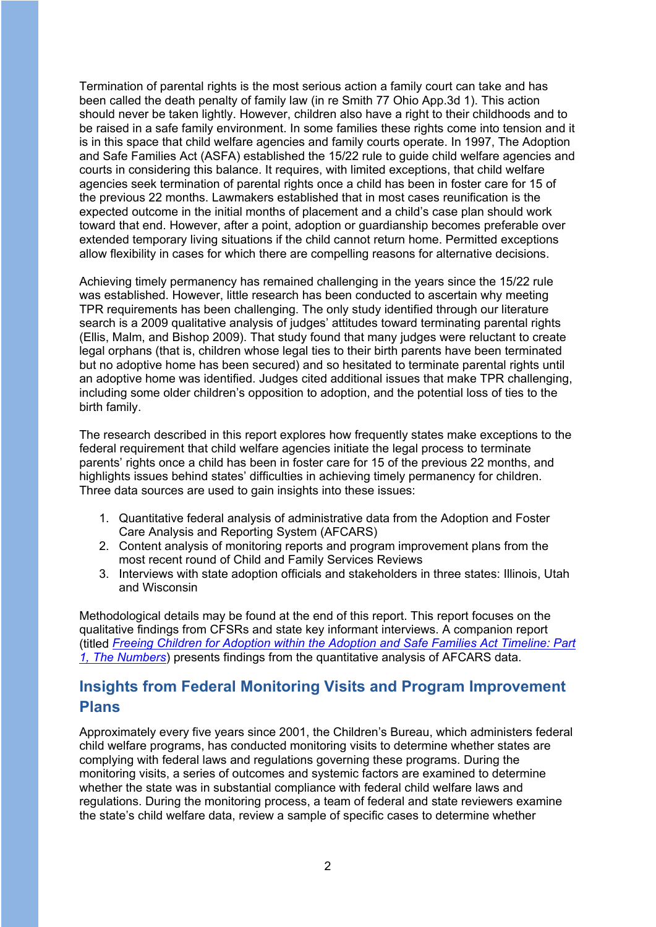Termination of parental rights is the most serious action a family court can take and has been called the death penalty of family law (in re Smith 77 Ohio App.3d 1). This action should never be taken lightly. However, children also have a right to their childhoods and to be raised in a safe family environment. In some families these rights come into tension and it is in this space that child welfare agencies and family courts operate. In 1997, The Adoption and Safe Families Act (ASFA) established the 15/22 rule to guide child welfare agencies and courts in considering this balance. It requires, with limited exceptions, that child welfare agencies seek termination of parental rights once a child has been in foster care for 15 of the previous 22 months. Lawmakers established that in most cases reunification is the expected outcome in the initial months of placement and a child's case plan should work toward that end. However, after a point, adoption or guardianship becomes preferable over extended temporary living situations if the child cannot return home. Permitted exceptions allow flexibility in cases for which there are compelling reasons for alternative decisions.

Achieving timely permanency has remained challenging in the years since the 15/22 rule was established. However, little research has been conducted to ascertain why meeting TPR requirements has been challenging. The only study identified through our literature search is a 2009 qualitative analysis of judges' attitudes toward terminating parental rights (Ellis, Malm, and Bishop 2009). That study found that many judges were reluctant to create legal orphans (that is, children whose legal ties to their birth parents have been terminated but no adoptive home has been secured) and so hesitated to terminate parental rights until an adoptive home was identified. Judges cited additional issues that make TPR challenging, including some older children's opposition to adoption, and the potential loss of ties to the birth family.

The research described in this report explores how frequently states make exceptions to the federal requirement that child welfare agencies initiate the legal process to terminate parents' rights once a child has been in foster care for 15 of the previous 22 months, and highlights issues behind states' difficulties in achieving timely permanency for children. Three data sources are used to gain insights into these issues:

- 1. Quantitative federal analysis of administrative data from the Adoption and Foster Care Analysis and Reporting System (AFCARS)
- 2. Content analysis of monitoring reports and program improvement plans from the most recent round of Child and Family Services Reviews
- 3. Interviews with state adoption officials and stakeholders in three states: Illinois, Utah and Wisconsin

Methodological details may be found at the end of this report. This report focuses on the qualitative findings from CFSRs and state key informant interviews. A companion report (titled *[Freeing Children for Adoption within the Adoption and Safe Families Act Timeline: Part](https://aspe.hhs.gov/system/files/pdf/265036/freeing-children-for-adoption-asfa-pt-1.pdf)  [1, The Numbers](https://aspe.hhs.gov/system/files/pdf/265036/freeing-children-for-adoption-asfa-pt-1.pdf)*) presents findings from the quantitative analysis of AFCARS data.

# **Insights from Federal Monitoring Visits and Program Improvement Plans**

Approximately every five years since 2001, the Children's Bureau, which administers federal child welfare programs, has conducted monitoring visits to determine whether states are complying with federal laws and regulations governing these programs. During the monitoring visits, a series of outcomes and systemic factors are examined to determine whether the state was in substantial compliance with federal child welfare laws and regulations. During the monitoring process, a team of federal and state reviewers examine the state's child welfare data, review a sample of specific cases to determine whether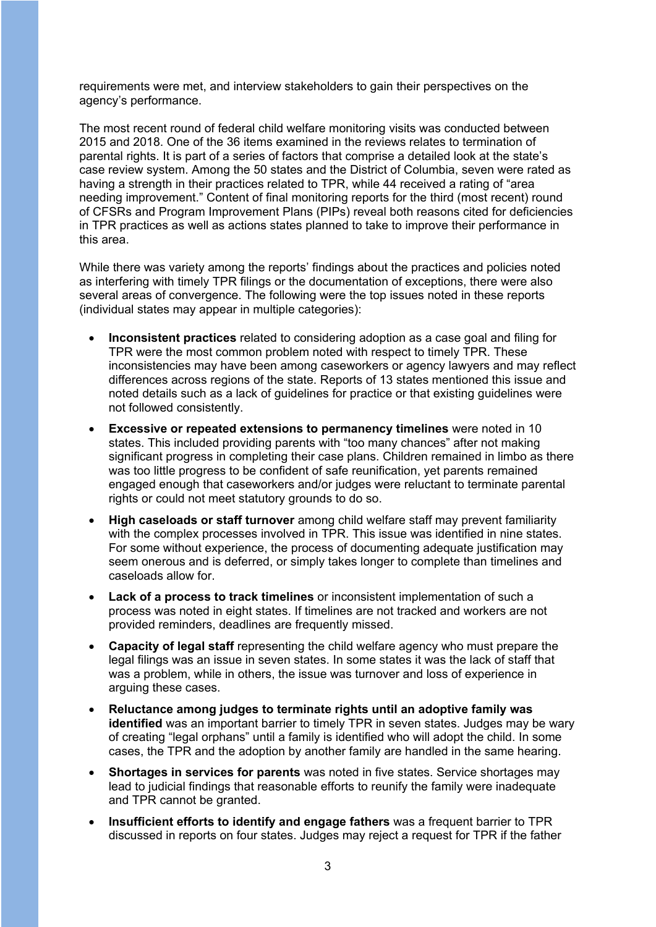requirements were met, and interview stakeholders to gain their perspectives on the agency's performance.

The most recent round of federal child welfare monitoring visits was conducted between 2015 and 2018. One of the 36 items examined in the reviews relates to termination of parental rights. It is part of a series of factors that comprise a detailed look at the state's case review system. Among the 50 states and the District of Columbia, seven were rated as having a strength in their practices related to TPR, while 44 received a rating of "area needing improvement." Content of final monitoring reports for the third (most recent) round of CFSRs and Program Improvement Plans (PIPs) reveal both reasons cited for deficiencies in TPR practices as well as actions states planned to take to improve their performance in this area.

While there was variety among the reports' findings about the practices and policies noted as interfering with timely TPR filings or the documentation of exceptions, there were also several areas of convergence. The following were the top issues noted in these reports (individual states may appear in multiple categories):

- **Inconsistent practices** related to considering adoption as a case goal and filing for TPR were the most common problem noted with respect to timely TPR. These inconsistencies may have been among caseworkers or agency lawyers and may reflect differences across regions of the state. Reports of 13 states mentioned this issue and noted details such as a lack of guidelines for practice or that existing guidelines were not followed consistently.
- **Excessive or repeated extensions to permanency timelines** were noted in 10 states. This included providing parents with "too many chances" after not making significant progress in completing their case plans. Children remained in limbo as there was too little progress to be confident of safe reunification, yet parents remained engaged enough that caseworkers and/or judges were reluctant to terminate parental rights or could not meet statutory grounds to do so.
- **High caseloads or staff turnover** among child welfare staff may prevent familiarity with the complex processes involved in TPR. This issue was identified in nine states. For some without experience, the process of documenting adequate justification may seem onerous and is deferred, or simply takes longer to complete than timelines and caseloads allow for.
- **Lack of a process to track timelines** or inconsistent implementation of such a process was noted in eight states. If timelines are not tracked and workers are not provided reminders, deadlines are frequently missed.
- **Capacity of legal staff** representing the child welfare agency who must prepare the legal filings was an issue in seven states. In some states it was the lack of staff that was a problem, while in others, the issue was turnover and loss of experience in arguing these cases.
- **Reluctance among judges to terminate rights until an adoptive family was identified** was an important barrier to timely TPR in seven states. Judges may be wary of creating "legal orphans" until a family is identified who will adopt the child. In some cases, the TPR and the adoption by another family are handled in the same hearing.
- **Shortages in services for parents** was noted in five states. Service shortages may lead to judicial findings that reasonable efforts to reunify the family were inadequate and TPR cannot be granted.
- **Insufficient efforts to identify and engage fathers** was a frequent barrier to TPR discussed in reports on four states. Judges may reject a request for TPR if the father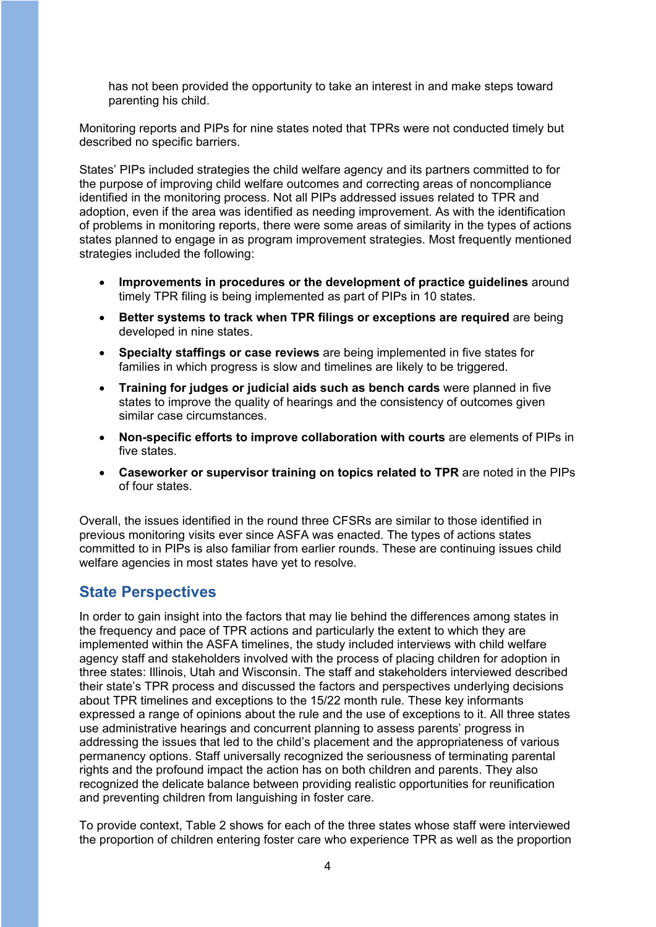has not been provided the opportunity to take an interest in and make steps toward parenting his child.

Monitoring reports and PIPs for nine states noted that TPRs were not conducted timely but described no specific barriers.

States' PIPs included strategies the child welfare agency and its partners committed to for the purpose of improving child welfare outcomes and correcting areas of noncompliance identified in the monitoring process. Not all PIPs addressed issues related to TPR and adoption, even if the area was identified as needing improvement. As with the identification of problems in monitoring reports, there were some areas of similarity in the types of actions states planned to engage in as program improvement strategies. Most frequently mentioned strategies included the following:

- **Improvements in procedures or the development of practice guidelines** around timely TPR filing is being implemented as part of PIPs in 10 states.
- **Better systems to track when TPR filings or exceptions are required** are being developed in nine states.
- **Specialty staffings or case reviews** are being implemented in five states for families in which progress is slow and timelines are likely to be triggered.
- **Training for judges or judicial aids such as bench cards** were planned in five states to improve the quality of hearings and the consistency of outcomes given similar case circumstances.
- **Non-specific efforts to improve collaboration with courts** are elements of PIPs in five states.
- **Caseworker or supervisor training on topics related to TPR** are noted in the PIPs of four states.

Overall, the issues identified in the round three CFSRs are similar to those identified in previous monitoring visits ever since ASFA was enacted. The types of actions states committed to in PIPs is also familiar from earlier rounds. These are continuing issues child welfare agencies in most states have yet to resolve.

#### **State Perspectives**

In order to gain insight into the factors that may lie behind the differences among states in the frequency and pace of TPR actions and particularly the extent to which they are implemented within the ASFA timelines, the study included interviews with child welfare agency staff and stakeholders involved with the process of placing children for adoption in three states: Illinois, Utah and Wisconsin. The staff and stakeholders interviewed described their state's TPR process and discussed the factors and perspectives underlying decisions about TPR timelines and exceptions to the 15/22 month rule. These key informants expressed a range of opinions about the rule and the use of exceptions to it. All three states use administrative hearings and concurrent planning to assess parents' progress in addressing the issues that led to the child's placement and the appropriateness of various permanency options. Staff universally recognized the seriousness of terminating parental rights and the profound impact the action has on both children and parents. They also recognized the delicate balance between providing realistic opportunities for reunification and preventing children from languishing in foster care.

To provide context, Table 2 shows for each of the three states whose staff were interviewed the proportion of children entering foster care who experience TPR as well as the proportion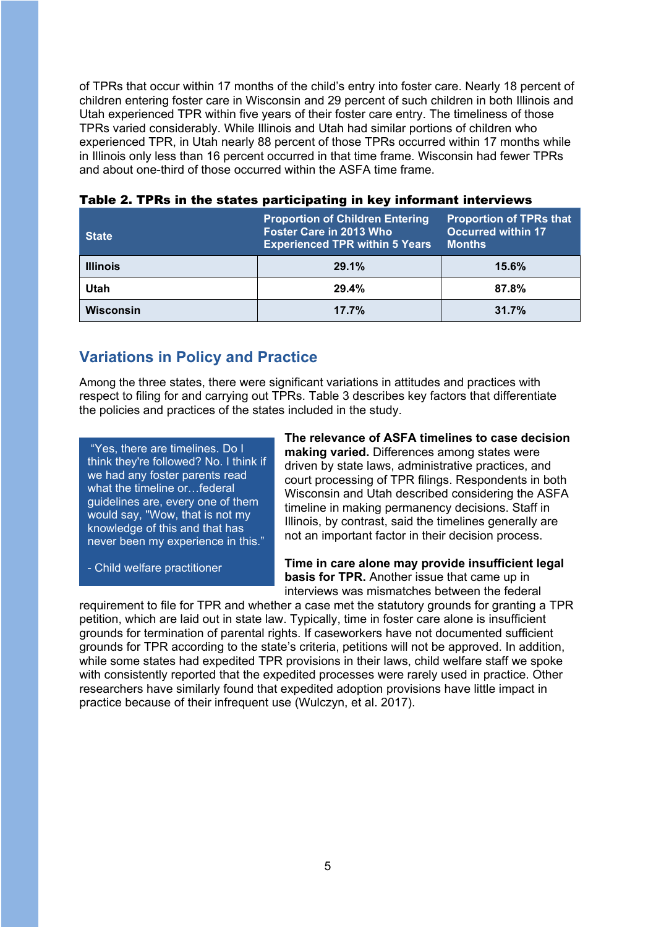of TPRs that occur within 17 months of the child's entry into foster care. Nearly 18 percent of children entering foster care in Wisconsin and 29 percent of such children in both Illinois and Utah experienced TPR within five years of their foster care entry. The timeliness of those TPRs varied considerably. While Illinois and Utah had similar portions of children who experienced TPR, in Utah nearly 88 percent of those TPRs occurred within 17 months while in Illinois only less than 16 percent occurred in that time frame. Wisconsin had fewer TPRs and about one-third of those occurred within the ASFA time frame.

| <b>State</b>     | <b>Proportion of Children Entering</b><br>Foster Care in 2013 Who<br><b>Experienced TPR within 5 Years</b> | <b>Proportion of TPRs that</b><br><b>Occurred within 17</b><br><b>Months</b> |  |
|------------------|------------------------------------------------------------------------------------------------------------|------------------------------------------------------------------------------|--|
| <b>Illinois</b>  | 29.1%                                                                                                      | 15.6%                                                                        |  |
| Utah             | 29.4%                                                                                                      | 87.8%                                                                        |  |
| <b>Wisconsin</b> | 17.7%                                                                                                      | 31.7%                                                                        |  |

#### Table 2. TPRs in the states participating in key informant interviews

#### **Variations in Policy and Practice**

Among the three states, there were significant variations in attitudes and practices with respect to filing for and carrying out TPRs. Table 3 describes key factors that differentiate the policies and practices of the states included in the study.

 "Yes, there are timelines. Do I think they're followed? No. I think if we had any foster parents read what the timeline or…federal guidelines are, every one of them would say, "Wow, that is not my knowledge of this and that has never been my experience in this."

- Child welfare practitioner

**The relevance of ASFA timelines to case decision making varied.** Differences among states were driven by state laws, administrative practices, and court processing of TPR filings. Respondents in both Wisconsin and Utah described considering the ASFA timeline in making permanency decisions. Staff in Illinois, by contrast, said the timelines generally are not an important factor in their decision process.

**Time in care alone may provide insufficient legal basis for TPR.** Another issue that came up in interviews was mismatches between the federal

requirement to file for TPR and whether a case met the statutory grounds for granting a TPR petition, which are laid out in state law. Typically, time in foster care alone is insufficient grounds for termination of parental rights. If caseworkers have not documented sufficient grounds for TPR according to the state's criteria, petitions will not be approved. In addition, while some states had expedited TPR provisions in their laws, child welfare staff we spoke with consistently reported that the expedited processes were rarely used in practice. Other researchers have similarly found that expedited adoption provisions have little impact in practice because of their infrequent use (Wulczyn, et al. 2017).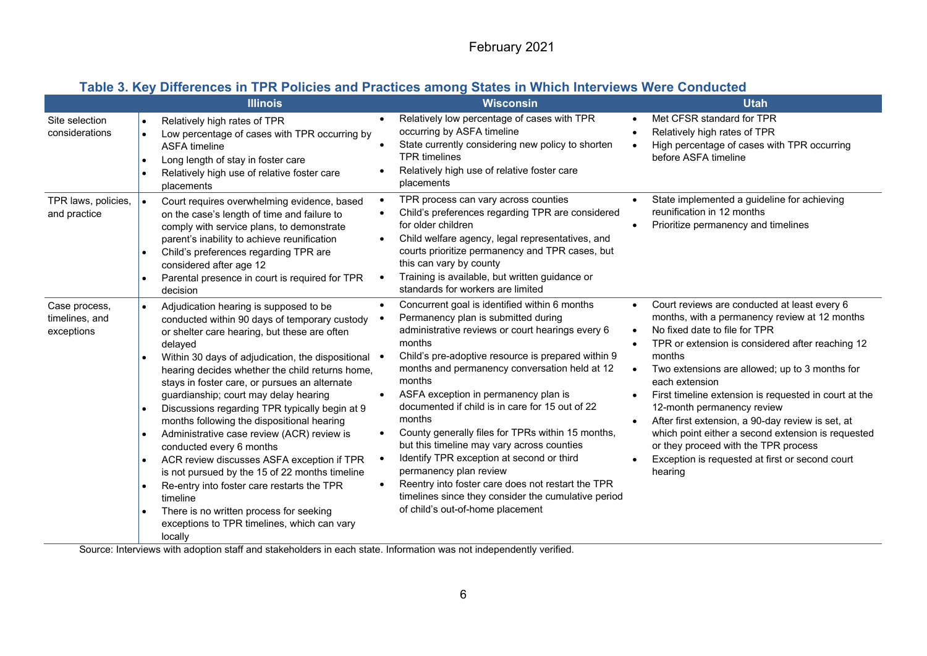#### **Table 3. Key Differences in TPR Policies and Practices among States in Which Interviews Were Conducted**

|                                               | <b>Illinois</b>                                                                                                                                                                                                                                                                                                                                                                                                                                                                                                                                                                                                                                                                                                                                                                                 |                                     | <b>Wisconsin</b>                                                                                                                                                                                                                                                                                                                                                                                                                                                                                                                                                                                                                                                                                   |                                                  | <b>Utah</b>                                                                                                                                                                                                                                                                                                                                                                                                                                                                                                                                                              |
|-----------------------------------------------|-------------------------------------------------------------------------------------------------------------------------------------------------------------------------------------------------------------------------------------------------------------------------------------------------------------------------------------------------------------------------------------------------------------------------------------------------------------------------------------------------------------------------------------------------------------------------------------------------------------------------------------------------------------------------------------------------------------------------------------------------------------------------------------------------|-------------------------------------|----------------------------------------------------------------------------------------------------------------------------------------------------------------------------------------------------------------------------------------------------------------------------------------------------------------------------------------------------------------------------------------------------------------------------------------------------------------------------------------------------------------------------------------------------------------------------------------------------------------------------------------------------------------------------------------------------|--------------------------------------------------|--------------------------------------------------------------------------------------------------------------------------------------------------------------------------------------------------------------------------------------------------------------------------------------------------------------------------------------------------------------------------------------------------------------------------------------------------------------------------------------------------------------------------------------------------------------------------|
| Site selection<br>considerations              | Relatively high rates of TPR<br>Low percentage of cases with TPR occurring by<br><b>ASFA timeline</b><br>Long length of stay in foster care<br>Relatively high use of relative foster care<br>placements                                                                                                                                                                                                                                                                                                                                                                                                                                                                                                                                                                                        |                                     | Relatively low percentage of cases with TPR<br>occurring by ASFA timeline<br>State currently considering new policy to shorten<br><b>TPR</b> timelines<br>Relatively high use of relative foster care<br>placements                                                                                                                                                                                                                                                                                                                                                                                                                                                                                | $\bullet$<br>$\bullet$                           | Met CFSR standard for TPR<br>Relatively high rates of TPR<br>High percentage of cases with TPR occurring<br>before ASFA timeline                                                                                                                                                                                                                                                                                                                                                                                                                                         |
| TPR laws, policies,<br>and practice           | Court requires overwhelming evidence, based<br>on the case's length of time and failure to<br>comply with service plans, to demonstrate<br>parent's inability to achieve reunification<br>Child's preferences regarding TPR are<br>considered after age 12<br>Parental presence in court is required for TPR<br>decision                                                                                                                                                                                                                                                                                                                                                                                                                                                                        | $\bullet$<br>$\bullet$              | TPR process can vary across counties<br>Child's preferences regarding TPR are considered<br>for older children<br>Child welfare agency, legal representatives, and<br>courts prioritize permanency and TPR cases, but<br>this can vary by county<br>Training is available, but written guidance or<br>standards for workers are limited                                                                                                                                                                                                                                                                                                                                                            | $\bullet$                                        | State implemented a guideline for achieving<br>reunification in 12 months<br>Prioritize permanency and timelines                                                                                                                                                                                                                                                                                                                                                                                                                                                         |
| Case process,<br>timelines, and<br>exceptions | Adjudication hearing is supposed to be<br>conducted within 90 days of temporary custody<br>or shelter care hearing, but these are often<br>delayed<br>Within 30 days of adjudication, the dispositional •<br>hearing decides whether the child returns home,<br>stays in foster care, or pursues an alternate<br>guardianship; court may delay hearing<br>Discussions regarding TPR typically begin at 9<br>months following the dispositional hearing<br>Administrative case review (ACR) review is<br>conducted every 6 months<br>ACR review discusses ASFA exception if TPR<br>is not pursued by the 15 of 22 months timeline<br>Re-entry into foster care restarts the TPR<br>timeline<br>There is no written process for seeking<br>exceptions to TPR timelines, which can vary<br>locally | $\bullet$<br>$\bullet$<br>$\bullet$ | Concurrent goal is identified within 6 months<br>Permanency plan is submitted during<br>administrative reviews or court hearings every 6<br>months<br>Child's pre-adoptive resource is prepared within 9<br>months and permanency conversation held at 12<br>months<br>ASFA exception in permanency plan is<br>documented if child is in care for 15 out of 22<br>months<br>County generally files for TPRs within 15 months,<br>but this timeline may vary across counties<br>Identify TPR exception at second or third<br>permanency plan review<br>Reentry into foster care does not restart the TPR<br>timelines since they consider the cumulative period<br>of child's out-of-home placement | $\bullet$<br>$\bullet$<br>$\bullet$<br>$\bullet$ | Court reviews are conducted at least every 6<br>months, with a permanency review at 12 months<br>No fixed date to file for TPR<br>TPR or extension is considered after reaching 12<br>months<br>Two extensions are allowed; up to 3 months for<br>each extension<br>First timeline extension is requested in court at the<br>12-month permanency review<br>After first extension, a 90-day review is set, at<br>which point either a second extension is requested<br>or they proceed with the TPR process<br>Exception is requested at first or second court<br>hearing |

Source: Interviews with adoption staff and stakeholders in each state. Information was not independently verified.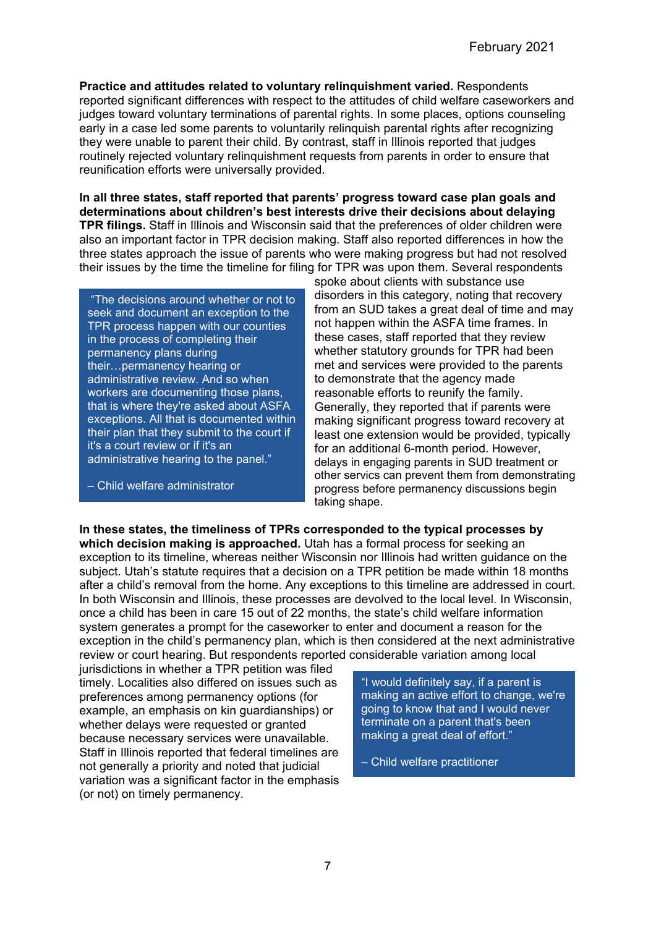**Practice and attitudes related to voluntary relinquishment varied.** Respondents reported significant differences with respect to the attitudes of child welfare caseworkers and judges toward voluntary terminations of parental rights. In some places, options counseling early in a case led some parents to voluntarily relinquish parental rights after recognizing they were unable to parent their child. By contrast, staff in Illinois reported that judges routinely rejected voluntary relinquishment requests from parents in order to ensure that reunification efforts were universally provided.

**In all three states, staff reported that parents' progress toward case plan goals and determinations about children's best interests drive their decisions about delaying TPR filings.** Staff in Illinois and Wisconsin said that the preferences of older children were also an important factor in TPR decision making. Staff also reported differences in how the three states approach the issue of parents who were making progress but had not resolved their issues by the time the timeline for filing for TPR was upon them. Several respondents

"The decisions around whether or not to seek and document an exception to the TPR process happen with our counties in the process of completing their permanency plans during their…permanency hearing or administrative review. And so when workers are documenting those plans, that is where they're asked about ASFA exceptions. All that is documented within their plan that they submit to the court if it's a court review or if it's an administrative hearing to the panel."

– Child welfare administrator

spoke about clients with substance use disorders in this category, noting that recovery from an SUD takes a great deal of time and may not happen within the ASFA time frames. In these cases, staff reported that they review whether statutory grounds for TPR had been met and services were provided to the parents to demonstrate that the agency made reasonable efforts to reunify the family. Generally, they reported that if parents were making significant progress toward recovery at least one extension would be provided, typically for an additional 6-month period. However, delays in engaging parents in SUD treatment or other servics can prevent them from demonstrating progress before permanency discussions begin taking shape.

**In these states, the timeliness of TPRs corresponded to the typical processes by which decision making is approached.** Utah has a formal process for seeking an exception to its timeline, whereas neither Wisconsin nor Illinois had written guidance on the subject. Utah's statute requires that a decision on a TPR petition be made within 18 months after a child's removal from the home. Any exceptions to this timeline are addressed in court. In both Wisconsin and Illinois, these processes are devolved to the local level. In Wisconsin, once a child has been in care 15 out of 22 months, the state's child welfare information system generates a prompt for the caseworker to enter and document a reason for the exception in the child's permanency plan, which is then considered at the next administrative review or court hearing. But respondents reported considerable variation among local

jurisdictions in whether a TPR petition was filed timely. Localities also differed on issues such as preferences among permanency options (for example, an emphasis on kin guardianships) or whether delays were requested or granted because necessary services were unavailable. Staff in Illinois reported that federal timelines are not generally a priority and noted that judicial variation was a significant factor in the emphasis (or not) on timely permanency.

"I would definitely say, if a parent is making an active effort to change, we're going to know that and I would never terminate on a parent that's been making a great deal of effort."

– Child welfare practitioner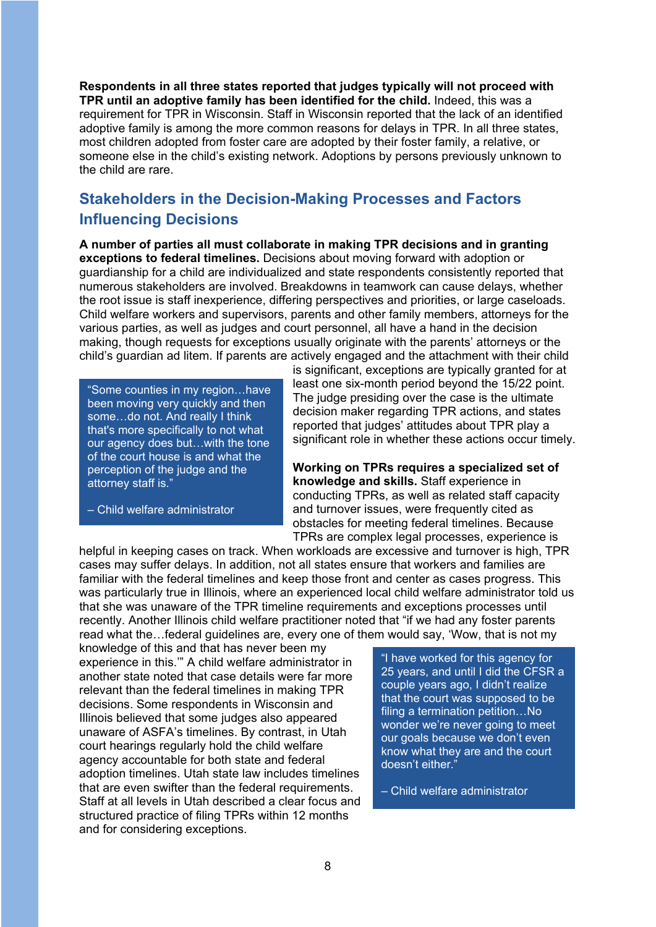**Respondents in all three states reported that judges typically will not proceed with TPR until an adoptive family has been identified for the child.** Indeed, this was a requirement for TPR in Wisconsin. Staff in Wisconsin reported that the lack of an identified adoptive family is among the more common reasons for delays in TPR. In all three states, most children adopted from foster care are adopted by their foster family, a relative, or someone else in the child's existing network. Adoptions by persons previously unknown to the child are rare.

# **Stakeholders in the Decision-Making Processes and Factors Influencing Decisions**

**A number of parties all must collaborate in making TPR decisions and in granting exceptions to federal timelines.** Decisions about moving forward with adoption or guardianship for a child are individualized and state respondents consistently reported that numerous stakeholders are involved. Breakdowns in teamwork can cause delays, whether the root issue is staff inexperience, differing perspectives and priorities, or large caseloads. Child welfare workers and supervisors, parents and other family members, attorneys for the various parties, as well as judges and court personnel, all have a hand in the decision making, though requests for exceptions usually originate with the parents' attorneys or the child's guardian ad litem. If parents are actively engaged and the attachment with their child

"Some counties in my region…have been moving very quickly and then some…do not. And really I think that's more specifically to not what our agency does but…with the tone of the court house is and what the perception of the judge and the attorney staff is."

– Child welfare administrator

is significant, exceptions are typically granted for at least one six-month period beyond the 15/22 point. The judge presiding over the case is the ultimate decision maker regarding TPR actions, and states reported that judges' attitudes about TPR play a significant role in whether these actions occur timely.

**Working on TPRs requires a specialized set of knowledge and skills.** Staff experience in conducting TPRs, as well as related staff capacity and turnover issues, were frequently cited as obstacles for meeting federal timelines. Because TPRs are complex legal processes, experience is

helpful in keeping cases on track. When workloads are excessive and turnover is high, TPR cases may suffer delays. In addition, not all states ensure that workers and families are familiar with the federal timelines and keep those front and center as cases progress. This was particularly true in Illinois, where an experienced local child welfare administrator told us that she was unaware of the TPR timeline requirements and exceptions processes until recently. Another Illinois child welfare practitioner noted that "if we had any foster parents read what the…federal guidelines are, every one of them would say, 'Wow, that is not my

knowledge of this and that has never been my experience in this.'" A child welfare administrator in another state noted that case details were far more relevant than the federal timelines in making TPR decisions. Some respondents in Wisconsin and Illinois believed that some judges also appeared unaware of ASFA's timelines. By contrast, in Utah court hearings regularly hold the child welfare agency accountable for both state and federal adoption timelines. Utah state law includes timelines that are even swifter than the federal requirements. Staff at all levels in Utah described a clear focus and structured practice of filing TPRs within 12 months and for considering exceptions.

"I have worked for this agency for 25 years, and until I did the CFSR a couple years ago, I didn't realize that the court was supposed to be filing a termination petition…No wonder we're never going to meet our goals because we don't even know what they are and the court doesn't either."

– Child welfare administrator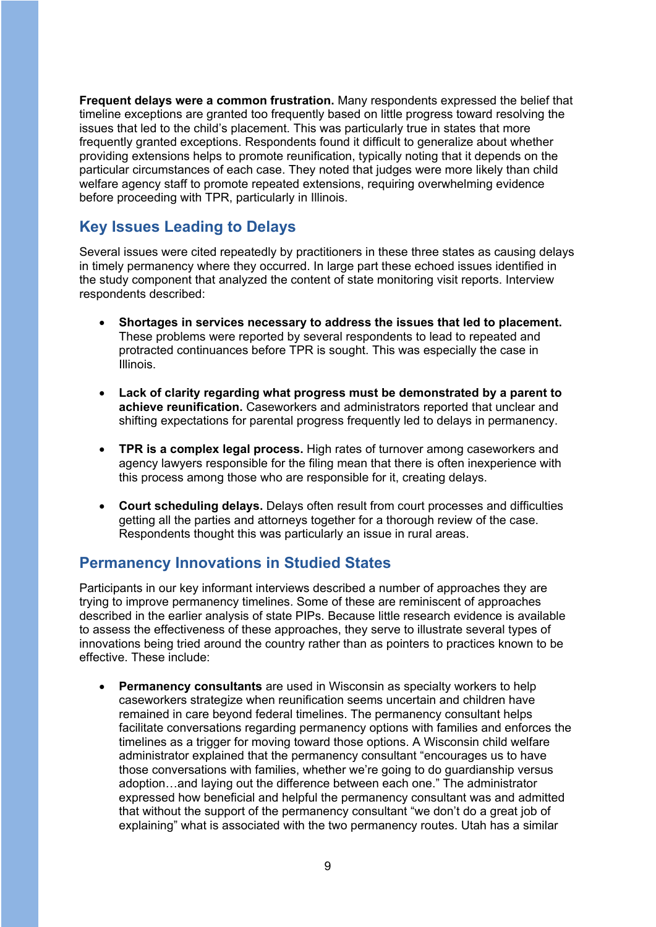**Frequent delays were a common frustration.** Many respondents expressed the belief that timeline exceptions are granted too frequently based on little progress toward resolving the issues that led to the child's placement. This was particularly true in states that more frequently granted exceptions. Respondents found it difficult to generalize about whether providing extensions helps to promote reunification, typically noting that it depends on the particular circumstances of each case. They noted that judges were more likely than child welfare agency staff to promote repeated extensions, requiring overwhelming evidence before proceeding with TPR, particularly in Illinois.

## **Key Issues Leading to Delays**

Several issues were cited repeatedly by practitioners in these three states as causing delays in timely permanency where they occurred. In large part these echoed issues identified in the study component that analyzed the content of state monitoring visit reports. Interview respondents described:

- **Shortages in services necessary to address the issues that led to placement.** These problems were reported by several respondents to lead to repeated and protracted continuances before TPR is sought. This was especially the case in Illinois.
- **Lack of clarity regarding what progress must be demonstrated by a parent to achieve reunification.** Caseworkers and administrators reported that unclear and shifting expectations for parental progress frequently led to delays in permanency.
- **TPR is a complex legal process.** High rates of turnover among caseworkers and agency lawyers responsible for the filing mean that there is often inexperience with this process among those who are responsible for it, creating delays.
- **Court scheduling delays.** Delays often result from court processes and difficulties getting all the parties and attorneys together for a thorough review of the case. Respondents thought this was particularly an issue in rural areas.

## **Permanency Innovations in Studied States**

Participants in our key informant interviews described a number of approaches they are trying to improve permanency timelines. Some of these are reminiscent of approaches described in the earlier analysis of state PIPs. Because little research evidence is available to assess the effectiveness of these approaches, they serve to illustrate several types of innovations being tried around the country rather than as pointers to practices known to be effective. These include:

• **Permanency consultants** are used in Wisconsin as specialty workers to help caseworkers strategize when reunification seems uncertain and children have remained in care beyond federal timelines. The permanency consultant helps facilitate conversations regarding permanency options with families and enforces the timelines as a trigger for moving toward those options. A Wisconsin child welfare administrator explained that the permanency consultant "encourages us to have those conversations with families, whether we're going to do guardianship versus adoption…and laying out the difference between each one." The administrator expressed how beneficial and helpful the permanency consultant was and admitted that without the support of the permanency consultant "we don't do a great job of explaining" what is associated with the two permanency routes. Utah has a similar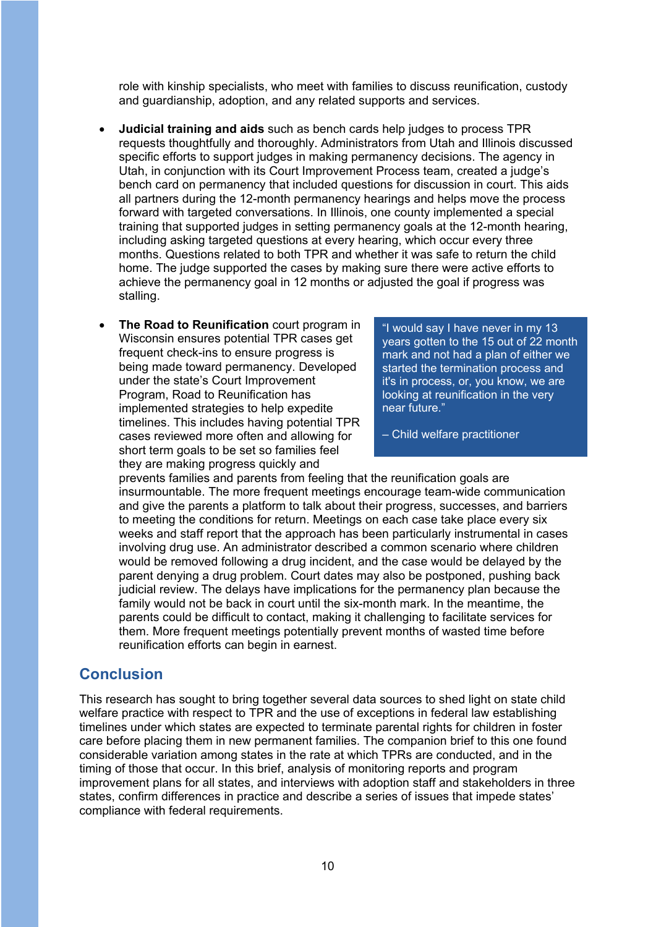role with kinship specialists, who meet with families to discuss reunification, custody and guardianship, adoption, and any related supports and services.

- **Judicial training and aids** such as bench cards help judges to process TPR requests thoughtfully and thoroughly. Administrators from Utah and Illinois discussed specific efforts to support judges in making permanency decisions. The agency in Utah, in conjunction with its Court Improvement Process team, created a judge's bench card on permanency that included questions for discussion in court. This aids all partners during the 12-month permanency hearings and helps move the process forward with targeted conversations. In Illinois, one county implemented a special training that supported judges in setting permanency goals at the 12-month hearing, including asking targeted questions at every hearing, which occur every three months. Questions related to both TPR and whether it was safe to return the child home. The judge supported the cases by making sure there were active efforts to achieve the permanency goal in 12 months or adjusted the goal if progress was stalling.
- **The Road to Reunification** court program in Wisconsin ensures potential TPR cases get frequent check-ins to ensure progress is being made toward permanency. Developed under the state's Court Improvement Program, Road to Reunification has implemented strategies to help expedite timelines. This includes having potential TPR cases reviewed more often and allowing for short term goals to be set so families feel they are making progress quickly and

"I would say I have never in my 13 years gotten to the 15 out of 22 month mark and not had a plan of either we started the termination process and it's in process, or, you know, we are looking at reunification in the very near future."

– Child welfare practitioner

prevents families and parents from feeling that the reunification goals are insurmountable. The more frequent meetings encourage team-wide communication and give the parents a platform to talk about their progress, successes, and barriers to meeting the conditions for return. Meetings on each case take place every six weeks and staff report that the approach has been particularly instrumental in cases involving drug use. An administrator described a common scenario where children would be removed following a drug incident, and the case would be delayed by the parent denying a drug problem. Court dates may also be postponed, pushing back judicial review. The delays have implications for the permanency plan because the family would not be back in court until the six-month mark. In the meantime, the parents could be difficult to contact, making it challenging to facilitate services for them. More frequent meetings potentially prevent months of wasted time before reunification efforts can begin in earnest.

#### **Conclusion**

This research has sought to bring together several data sources to shed light on state child welfare practice with respect to TPR and the use of exceptions in federal law establishing timelines under which states are expected to terminate parental rights for children in foster care before placing them in new permanent families. The companion brief to this one found considerable variation among states in the rate at which TPRs are conducted, and in the timing of those that occur. In this brief, analysis of monitoring reports and program improvement plans for all states, and interviews with adoption staff and stakeholders in three states, confirm differences in practice and describe a series of issues that impede states' compliance with federal requirements.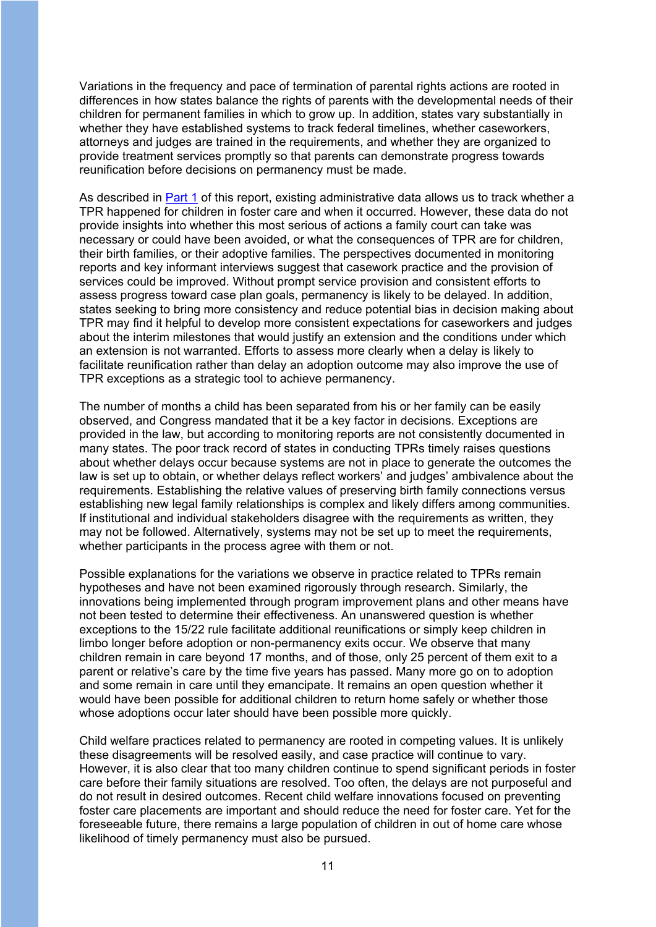Variations in the frequency and pace of termination of parental rights actions are rooted in differences in how states balance the rights of parents with the developmental needs of their children for permanent families in which to grow up. In addition, states vary substantially in whether they have established systems to track federal timelines, whether caseworkers, attorneys and judges are trained in the requirements, and whether they are organized to provide treatment services promptly so that parents can demonstrate progress towards reunification before decisions on permanency must be made.

As described in [Part 1](https://aspe.hhs.gov/system/files/pdf/265036/freeing-children-for-adoption-asfa-pt-1.pdf) of this report, existing administrative data allows us to track whether a TPR happened for children in foster care and when it occurred. However, these data do not provide insights into whether this most serious of actions a family court can take was necessary or could have been avoided, or what the consequences of TPR are for children, their birth families, or their adoptive families. The perspectives documented in monitoring reports and key informant interviews suggest that casework practice and the provision of services could be improved. Without prompt service provision and consistent efforts to assess progress toward case plan goals, permanency is likely to be delayed. In addition, states seeking to bring more consistency and reduce potential bias in decision making about TPR may find it helpful to develop more consistent expectations for caseworkers and judges about the interim milestones that would justify an extension and the conditions under which an extension is not warranted. Efforts to assess more clearly when a delay is likely to facilitate reunification rather than delay an adoption outcome may also improve the use of TPR exceptions as a strategic tool to achieve permanency.

The number of months a child has been separated from his or her family can be easily observed, and Congress mandated that it be a key factor in decisions. Exceptions are provided in the law, but according to monitoring reports are not consistently documented in many states. The poor track record of states in conducting TPRs timely raises questions about whether delays occur because systems are not in place to generate the outcomes the law is set up to obtain, or whether delays reflect workers' and judges' ambivalence about the requirements. Establishing the relative values of preserving birth family connections versus establishing new legal family relationships is complex and likely differs among communities. If institutional and individual stakeholders disagree with the requirements as written, they may not be followed. Alternatively, systems may not be set up to meet the requirements, whether participants in the process agree with them or not.

Possible explanations for the variations we observe in practice related to TPRs remain hypotheses and have not been examined rigorously through research. Similarly, the innovations being implemented through program improvement plans and other means have not been tested to determine their effectiveness. An unanswered question is whether exceptions to the 15/22 rule facilitate additional reunifications or simply keep children in limbo longer before adoption or non-permanency exits occur. We observe that many children remain in care beyond 17 months, and of those, only 25 percent of them exit to a parent or relative's care by the time five years has passed. Many more go on to adoption and some remain in care until they emancipate. It remains an open question whether it would have been possible for additional children to return home safely or whether those whose adoptions occur later should have been possible more quickly.

Child welfare practices related to permanency are rooted in competing values. It is unlikely these disagreements will be resolved easily, and case practice will continue to vary. However, it is also clear that too many children continue to spend significant periods in foster care before their family situations are resolved. Too often, the delays are not purposeful and do not result in desired outcomes. Recent child welfare innovations focused on preventing foster care placements are important and should reduce the need for foster care. Yet for the foreseeable future, there remains a large population of children in out of home care whose likelihood of timely permanency must also be pursued.